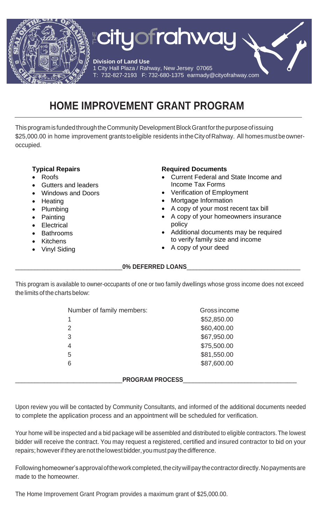

# **HOME IMPROVEMENT GRANT PROGRAM**

This program is funded through the Community Development Block Grant for the purpose of issuing \$25,000.00 in home improvement grants to eligible residents in the City of Rahway. All homes must be owneroccupied.

#### **Typical Repairs**

- Roofs
- Gutters and leaders
- Windows and Doors
- Heating
- Plumbing
- Painting
- Electrical
- Bathrooms
- Kitchens
- Vinyl Siding

### **Required Documents**

- Current Federal and State Income and Income Tax Forms
- Verification of Employment
- Mortgage Information
- A copy of your most recent tax bill
- A copy of your homeowners insurance policy
- Additional documents may be required to verify family size and income
- A copy of your deed

#### 0% DEFERRED LOANS

This program is available to owner-occupants of one or two family dwellings whose gross income does not exceed the limits of the charts below:

| Number of family members: | Gross income |
|---------------------------|--------------|
| 1                         | \$52,850.00  |
| $\mathcal{P}$             | \$60,400.00  |
| 3                         | \$67,950.00  |
| 4                         | \$75,500.00  |
| 5                         | \$81,550.00  |
| 6                         | \$87,600.00  |
|                           |              |

#### PROGRAM PROCESS

Upon review you will be contacted by Community Consultants, and informed of the additional documents needed to complete the application process and an appointment will be scheduled for verification.

Your home will be inspected and a bid package will be assembled and distributed to eligible contractors.The lowest bidder will receive the contract. You may request a registered, certified and insured contractor to bid on your repairs; however if they are not the lowest bidder, you must pay the difference.

Following homeowner's approval of the work completed, the city will pay the contractor directly. No payments are made to the homeowner.

The Home Improvement Grant Program provides a maximum grant of \$25,000.00.